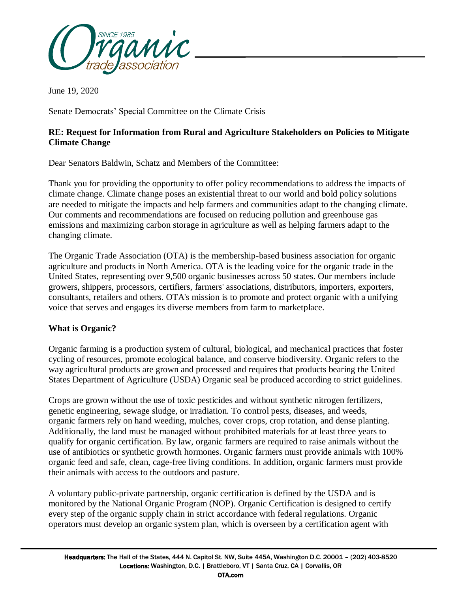

June 19, 2020

Senate Democrats' Special Committee on the Climate Crisis

# **RE: Request for Information from Rural and Agriculture Stakeholders on Policies to Mitigate Climate Change**

Dear Senators Baldwin, Schatz and Members of the Committee:

Thank you for providing the opportunity to offer policy recommendations to address the impacts of climate change. Climate change poses an existential threat to our world and bold policy solutions are needed to mitigate the impacts and help farmers and communities adapt to the changing climate. Our comments and recommendations are focused on reducing pollution and greenhouse gas emissions and maximizing carbon storage in agriculture as well as helping farmers adapt to the changing climate.

The Organic Trade Association (OTA) is the membership-based business association for organic agriculture and products in North America. OTA is the leading voice for the organic trade in the United States, representing over 9,500 organic businesses across 50 states. Our members include growers, shippers, processors, certifiers, farmers' associations, distributors, importers, exporters, consultants, retailers and others. OTA's mission is to promote and protect organic with a unifying voice that serves and engages its diverse members from farm to marketplace.

# **What is Organic?**

Organic farming is a production system of cultural, biological, and mechanical practices that foster cycling of resources, promote ecological balance, and conserve biodiversity. Organic refers to the way agricultural products are grown and processed and requires that products bearing the United States Department of Agriculture (USDA) Organic seal be produced according to strict guidelines.

Crops are grown without the use of toxic pesticides and without synthetic nitrogen fertilizers, genetic engineering, sewage sludge, or irradiation. To control pests, diseases, and weeds, organic farmers rely on hand weeding, mulches, cover crops, crop rotation, and dense planting. Additionally, the land must be managed without prohibited materials for at least three years to qualify for organic certification. By law, organic farmers are required to raise animals without the use of antibiotics or synthetic growth hormones. Organic farmers must provide animals with 100% organic feed and safe, clean, cage-free living conditions. In addition, organic farmers must provide their animals with access to the outdoors and pasture.

A voluntary public-private partnership, organic certification is defined by the USDA and is monitored by the National Organic Program (NOP). Organic Certification is designed to certify every step of the organic supply chain in strict accordance with federal regulations. Organic operators must develop an organic system plan, which is overseen by a certification agent with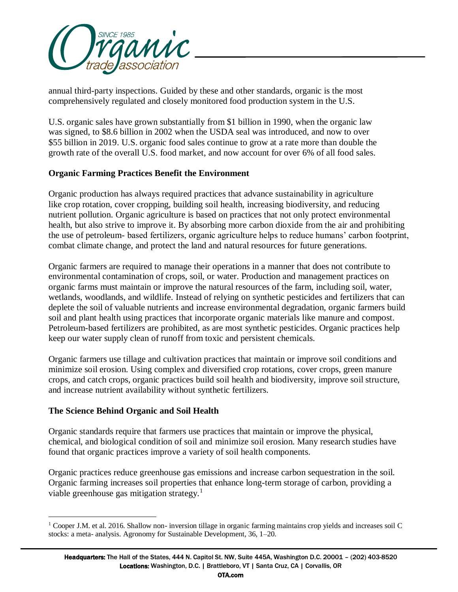

annual third-party inspections. Guided by these and other standards, organic is the most comprehensively regulated and closely monitored food production system in the U.S.

U.S. organic sales have grown substantially from \$1 billion in 1990, when the organic law was signed, to \$8.6 billion in 2002 when the USDA seal was introduced, and now to over \$55 billion in 2019. U.S. organic food sales continue to grow at a rate more than double the growth rate of the overall U.S. food market, and now account for over 6% of all food sales.

# **Organic Farming Practices Benefit the Environment**

Organic production has always required practices that advance sustainability in agriculture like crop rotation, cover cropping, building soil health, increasing biodiversity, and reducing nutrient pollution. Organic agriculture is based on practices that not only protect environmental health, but also strive to improve it. By absorbing more carbon dioxide from the air and prohibiting the use of petroleum- based fertilizers, organic agriculture helps to reduce humans' carbon footprint, combat climate change, and protect the land and natural resources for future generations.

Organic farmers are required to manage their operations in a manner that does not contribute to environmental contamination of crops, soil, or water. Production and management practices on organic farms must maintain or improve the natural resources of the farm, including soil, water, wetlands, woodlands, and wildlife. Instead of relying on synthetic pesticides and fertilizers that can deplete the soil of valuable nutrients and increase environmental degradation, organic farmers build soil and plant health using practices that incorporate organic materials like manure and compost. Petroleum-based fertilizers are prohibited, as are most synthetic pesticides. Organic practices help keep our water supply clean of runoff from toxic and persistent chemicals.

Organic farmers use tillage and cultivation practices that maintain or improve soil conditions and minimize soil erosion. Using complex and diversified crop rotations, cover crops, green manure crops, and catch crops, organic practices build soil health and biodiversity, improve soil structure, and increase nutrient availability without synthetic fertilizers.

# **The Science Behind Organic and Soil Health**

 $\overline{a}$ 

Organic standards require that farmers use practices that maintain or improve the physical, chemical, and biological condition of soil and minimize soil erosion. Many research studies have found that organic practices improve a variety of soil health components.

Organic practices reduce greenhouse gas emissions and increase carbon sequestration in the soil. Organic farming increases soil properties that enhance long-term storage of carbon, providing a viable greenhouse gas mitigation strategy.<sup>1</sup>

 $1$  Cooper J.M. et al. 2016. Shallow non- inversion tillage in organic farming maintains crop yields and increases soil C stocks: a meta- analysis. Agronomy for Sustainable Development, 36, 1–20.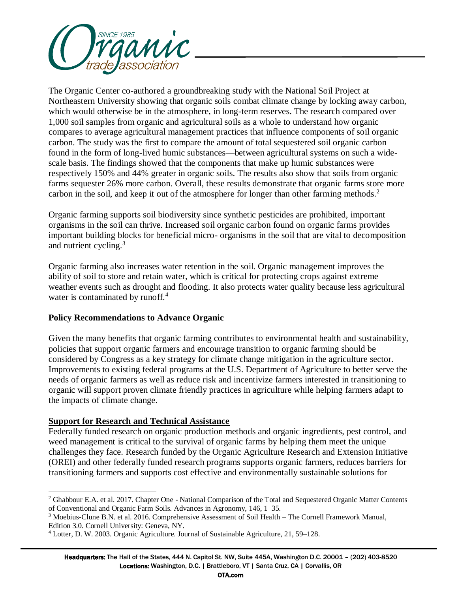

The Organic Center co-authored a groundbreaking study with the National Soil Project at Northeastern University showing that organic soils combat climate change by locking away carbon, which would otherwise be in the atmosphere, in long-term reserves. The research compared over 1,000 soil samples from organic and agricultural soils as a whole to understand how organic compares to average agricultural management practices that influence components of soil organic carbon. The study was the first to compare the amount of total sequestered soil organic carbon found in the form of long-lived humic substances—between agricultural systems on such a widescale basis. The findings showed that the components that make up humic substances were respectively 150% and 44% greater in organic soils. The results also show that soils from organic farms sequester 26% more carbon. Overall, these results demonstrate that organic farms store more carbon in the soil, and keep it out of the atmosphere for longer than other farming methods.<sup>2</sup>

Organic farming supports soil biodiversity since synthetic pesticides are prohibited, important organisms in the soil can thrive. Increased soil organic carbon found on organic farms provides important building blocks for beneficial micro- organisms in the soil that are vital to decomposition and nutrient cycling. $3$ 

Organic farming also increases water retention in the soil. Organic management improves the ability of soil to store and retain water, which is critical for protecting crops against extreme weather events such as drought and flooding. It also protects water quality because less agricultural water is contaminated by runoff. $4$ 

# **Policy Recommendations to Advance Organic**

Given the many benefits that organic farming contributes to environmental health and sustainability, policies that support organic farmers and encourage transition to organic farming should be considered by Congress as a key strategy for climate change mitigation in the agriculture sector. Improvements to existing federal programs at the U.S. Department of Agriculture to better serve the needs of organic farmers as well as reduce risk and incentivize farmers interested in transitioning to organic will support proven climate friendly practices in agriculture while helping farmers adapt to the impacts of climate change.

# **Support for Research and Technical Assistance**

 $\overline{a}$ 

Federally funded research on organic production methods and organic ingredients, pest control, and weed management is critical to the survival of organic farms by helping them meet the unique challenges they face. Research funded by the Organic Agriculture Research and Extension Initiative (OREI) and other federally funded research programs supports organic farmers, reduces barriers for transitioning farmers and supports cost effective and environmentally sustainable solutions for

<sup>&</sup>lt;sup>2</sup> Ghabbour E.A. et al. 2017. Chapter One - National Comparison of the Total and Sequestered Organic Matter Contents of Conventional and Organic Farm Soils. Advances in Agronomy, 146, 1–35.

<sup>3</sup> Moebius-Clune B.N. et al. 2016. Comprehensive Assessment of Soil Health – The Cornell Framework Manual, Edition 3.0. Cornell University: Geneva, NY.

<sup>4</sup> Lotter, D. W. 2003. Organic Agriculture. Journal of Sustainable Agriculture, 21, 59–128.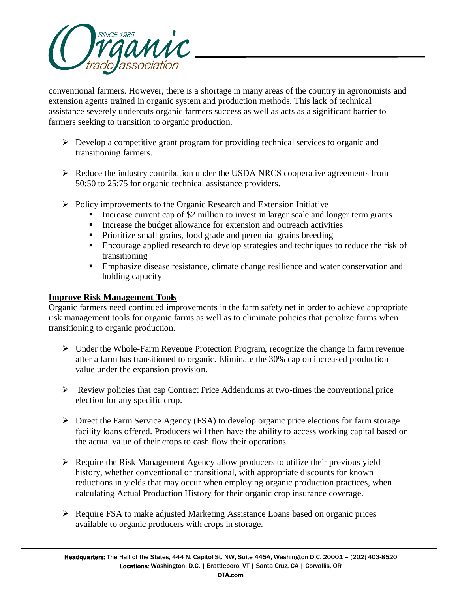

conventional farmers. However, there is a shortage in many areas of the country in agronomists and extension agents trained in organic system and production methods. This lack of technical assistance severely undercuts organic farmers success as well as acts as a significant barrier to farmers seeking to transition to organic production.

- $\triangleright$  Develop a competitive grant program for providing technical services to organic and transitioning farmers.
- $\triangleright$  Reduce the industry contribution under the USDA NRCS cooperative agreements from 50:50 to 25:75 for organic technical assistance providers.
- $\triangleright$  Policy improvements to the Organic Research and Extension Initiative
	- Increase current cap of \$2 million to invest in larger scale and longer term grants
	- Increase the budget allowance for extension and outreach activities
	- Prioritize small grains, food grade and perennial grains breeding
	- Encourage applied research to develop strategies and techniques to reduce the risk of transitioning
	- Emphasize disease resistance, climate change resilience and water conservation and holding capacity

#### **Improve Risk Management Tools**

Organic farmers need continued improvements in the farm safety net in order to achieve appropriate risk management tools for organic farms as well as to eliminate policies that penalize farms when transitioning to organic production.

- $\triangleright$  Under the Whole-Farm Revenue Protection Program, recognize the change in farm revenue after a farm has transitioned to organic. Eliminate the 30% cap on increased production value under the expansion provision.
- $\triangleright$  Review policies that cap Contract Price Addendums at two-times the conventional price election for any specific crop.
- Direct the Farm Service Agency (FSA) to develop organic price elections for farm storage facility loans offered. Producers will then have the ability to access working capital based on the actual value of their crops to cash flow their operations.
- $\triangleright$  Require the Risk Management Agency allow producers to utilize their previous yield history, whether conventional or transitional, with appropriate discounts for known reductions in yields that may occur when employing organic production practices, when calculating Actual Production History for their organic crop insurance coverage.
- Require FSA to make adjusted Marketing Assistance Loans based on organic prices available to organic producers with crops in storage.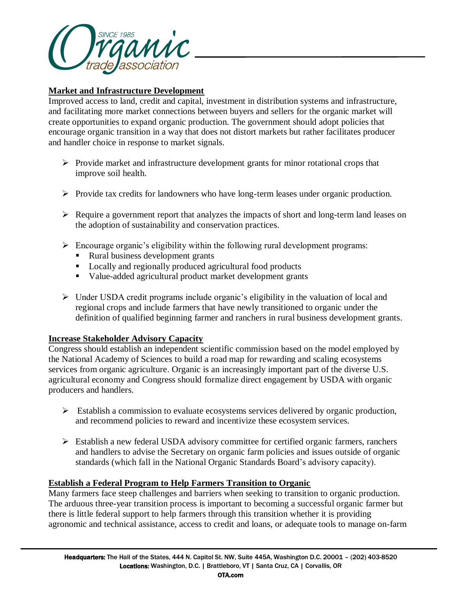

# **Market and Infrastructure Development**

Improved access to land, credit and capital, investment in distribution systems and infrastructure, and facilitating more market connections between buyers and sellers for the organic market will create opportunities to expand organic production. The government should adopt policies that encourage organic transition in a way that does not distort markets but rather facilitates producer and handler choice in response to market signals.

- $\triangleright$  Provide market and infrastructure development grants for minor rotational crops that improve soil health.
- $\triangleright$  Provide tax credits for landowners who have long-term leases under organic production.
- $\triangleright$  Require a government report that analyzes the impacts of short and long-term land leases on the adoption of sustainability and conservation practices.
- $\triangleright$  Encourage organic's eligibility within the following rural development programs:
	- Rural business development grants
	- **Locally and regionally produced agricultural food products**
	- Value-added agricultural product market development grants
- $\triangleright$  Under USDA credit programs include organic's eligibility in the valuation of local and regional crops and include farmers that have newly transitioned to organic under the definition of qualified beginning farmer and ranchers in rural business development grants.

#### **Increase Stakeholder Advisory Capacity**

Congress should establish an independent scientific commission based on the model employed by the National Academy of Sciences to build a road map for rewarding and scaling ecosystems services from organic agriculture. Organic is an increasingly important part of the diverse U.S. agricultural economy and Congress should formalize direct engagement by USDA with organic producers and handlers.

- $\triangleright$  Establish a commission to evaluate ecosystems services delivered by organic production, and recommend policies to reward and incentivize these ecosystem services.
- $\triangleright$  Establish a new federal USDA advisory committee for certified organic farmers, ranchers and handlers to advise the Secretary on organic farm policies and issues outside of organic standards (which fall in the National Organic Standards Board's advisory capacity).

# **Establish a Federal Program to Help Farmers Transition to Organic**

Many farmers face steep challenges and barriers when seeking to transition to organic production. The arduous three-year transition process is important to becoming a successful organic farmer but there is little federal support to help farmers through this transition whether it is providing agronomic and technical assistance, access to credit and loans, or adequate tools to manage on-farm

OTA.com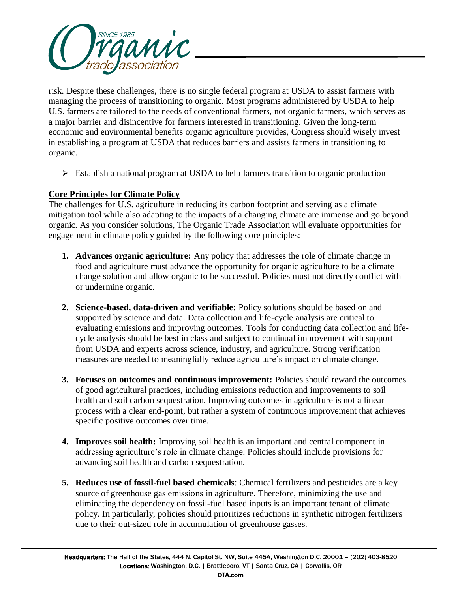

risk. Despite these challenges, there is no single federal program at USDA to assist farmers with managing the process of transitioning to organic. Most programs administered by USDA to help U.S. farmers are tailored to the needs of conventional farmers, not organic farmers, which serves as a major barrier and disincentive for farmers interested in transitioning. Given the long-term economic and environmental benefits organic agriculture provides, Congress should wisely invest in establishing a program at USDA that reduces barriers and assists farmers in transitioning to organic.

 $\triangleright$  Establish a national program at USDA to help farmers transition to organic production

# **Core Principles for Climate Policy**

The challenges for U.S. agriculture in reducing its carbon footprint and serving as a climate mitigation tool while also adapting to the impacts of a changing climate are immense and go beyond organic. As you consider solutions, The Organic Trade Association will evaluate opportunities for engagement in climate policy guided by the following core principles:

- **1. Advances organic agriculture:** Any policy that addresses the role of climate change in food and agriculture must advance the opportunity for organic agriculture to be a climate change solution and allow organic to be successful. Policies must not directly conflict with or undermine organic.
- **2. Science-based, data-driven and verifiable:** Policy solutions should be based on and supported by science and data. Data collection and life-cycle analysis are critical to evaluating emissions and improving outcomes. Tools for conducting data collection and lifecycle analysis should be best in class and subject to continual improvement with support from USDA and experts across science, industry, and agriculture. Strong verification measures are needed to meaningfully reduce agriculture's impact on climate change.
- **3. Focuses on outcomes and continuous improvement:** Policies should reward the outcomes of good agricultural practices, including emissions reduction and improvements to soil health and soil carbon sequestration. Improving outcomes in agriculture is not a linear process with a clear end-point, but rather a system of continuous improvement that achieves specific positive outcomes over time.
- **4. Improves soil health:** Improving soil health is an important and central component in addressing agriculture's role in climate change. Policies should include provisions for advancing soil health and carbon sequestration.
- **5. Reduces use of fossil-fuel based chemicals**: Chemical fertilizers and pesticides are a key source of greenhouse gas emissions in agriculture. Therefore, minimizing the use and eliminating the dependency on fossil-fuel based inputs is an important tenant of climate policy. In particularly, policies should prioritizes reductions in synthetic nitrogen fertilizers due to their out-sized role in accumulation of greenhouse gasses.